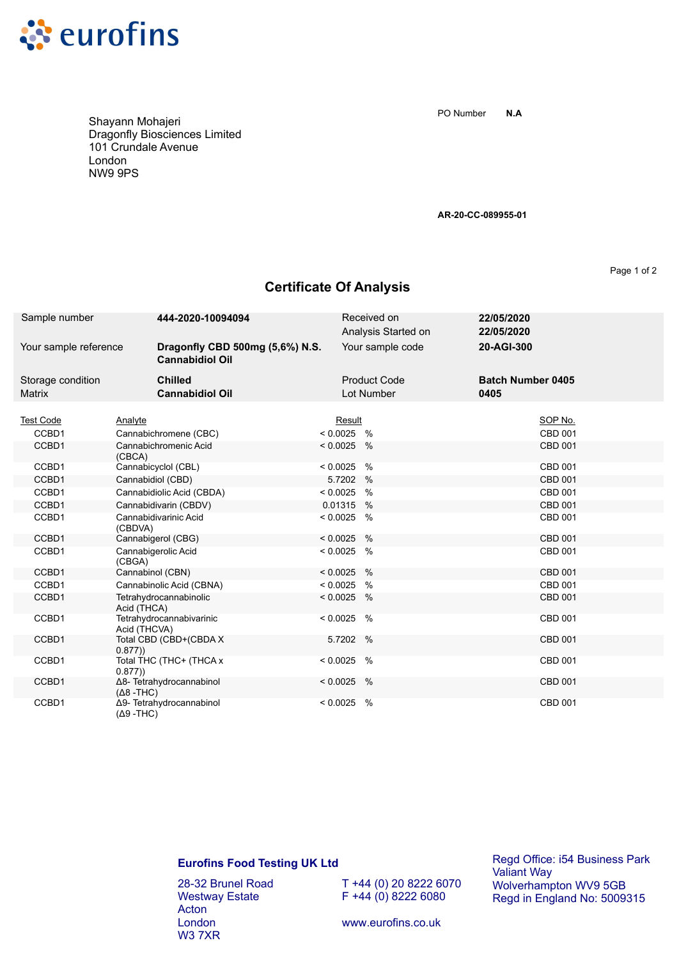

Shayann Mohajeri Dragonfly Biosciences Limited 101 Crundale Avenue London NW9 9PS

**N.A** PO Number

**AR-20-CC-089955-01**

Page 1 of 2

## **Certificate Of Analysis**

| Sample number                      | 444-2020-10094094                                         | Received on<br>Analysis Started on | 22/05/2020<br>22/05/2020         |                |
|------------------------------------|-----------------------------------------------------------|------------------------------------|----------------------------------|----------------|
| Your sample reference              | Dragonfly CBD 500mg (5,6%) N.S.<br><b>Cannabidiol Oil</b> | Your sample code                   | 20-AGI-300                       |                |
| Storage condition<br><b>Matrix</b> | <b>Chilled</b><br><b>Cannabidiol Oil</b>                  | <b>Product Code</b><br>Lot Number  | <b>Batch Number 0405</b><br>0405 |                |
| <b>Test Code</b>                   | Analyte                                                   | Result                             |                                  | SOP No.        |
| CCBD1                              | Cannabichromene (CBC)                                     | $< 0.0025$ %                       |                                  | <b>CBD 001</b> |
| CCBD1                              | Cannabichromenic Acid<br>(CBCA)                           | $< 0.0025$ %                       |                                  | <b>CBD 001</b> |
| CCBD1                              | Cannabicyclol (CBL)                                       | $\%$<br>< 0.0025                   |                                  | <b>CBD 001</b> |
| CCBD1                              | Cannabidiol (CBD)                                         | 5.7202<br>$\%$                     |                                  | <b>CBD 001</b> |
| CCBD1                              | Cannabidiolic Acid (CBDA)                                 | < 0.0025<br>$\frac{0}{0}$          |                                  | CBD 001        |
| CCBD1                              | Cannabidivarin (CBDV)                                     | 0.01315<br>$\%$                    |                                  | <b>CBD 001</b> |
| CCBD1                              | Cannabidivarinic Acid<br>(CBDVA)                          | < 0.0025<br>$\%$                   |                                  | <b>CBD 001</b> |
| CCBD1                              | Cannabigerol (CBG)                                        | < 0.0025<br>$\%$                   |                                  | <b>CBD 001</b> |
| CCBD1                              | Cannabigerolic Acid<br>(CBGA)                             | < 0.0025<br>%                      |                                  | <b>CBD 001</b> |
| CCBD1                              | Cannabinol (CBN)                                          | < 0.0025<br>$\frac{0}{0}$          |                                  | CBD 001        |
| CCBD1                              | Cannabinolic Acid (CBNA)                                  | < 0.0025<br>%                      |                                  | <b>CBD 001</b> |
| CCBD1                              | Tetrahydrocannabinolic<br>Acid (THCA)                     | < 0.0025<br>$\%$                   |                                  | <b>CBD 001</b> |
| CCBD1                              | Tetrahydrocannabivarinic<br>Acid (THCVA)                  | $\frac{0}{0}$<br>< 0.0025          |                                  | <b>CBD 001</b> |
| CCBD1                              | Total CBD (CBD+(CBDA X<br>0.877)                          | 5.7202<br>$\%$                     |                                  | CBD 001        |
| CCBD1                              | Total THC (THC+ (THCA x<br>0.877)                         | < 0.0025<br>%                      |                                  | CBD 001        |
| CCBD1                              | Δ8- Tetrahydrocannabinol<br>$(Δ8 - THC)$                  | $< 0.0025$ %                       |                                  | <b>CBD 001</b> |
| CCBD1                              | Δ9- Tetrahydrocannabinol<br>$(Δ9 - THC)$                  | < 0.0025<br>%                      |                                  | CBD 001        |

## **Eurofins Food Testing UK Ltd**

28-32 Brunel Road Westway Estate Acton London W3 7XR

T +44 (0) 20 8222 6070  $F + 44 (0) 8222 6080$ 

Regd Office: i54 Business Park Valiant Way Wolverhampton WV9 5GB Regd in England No: 5009315